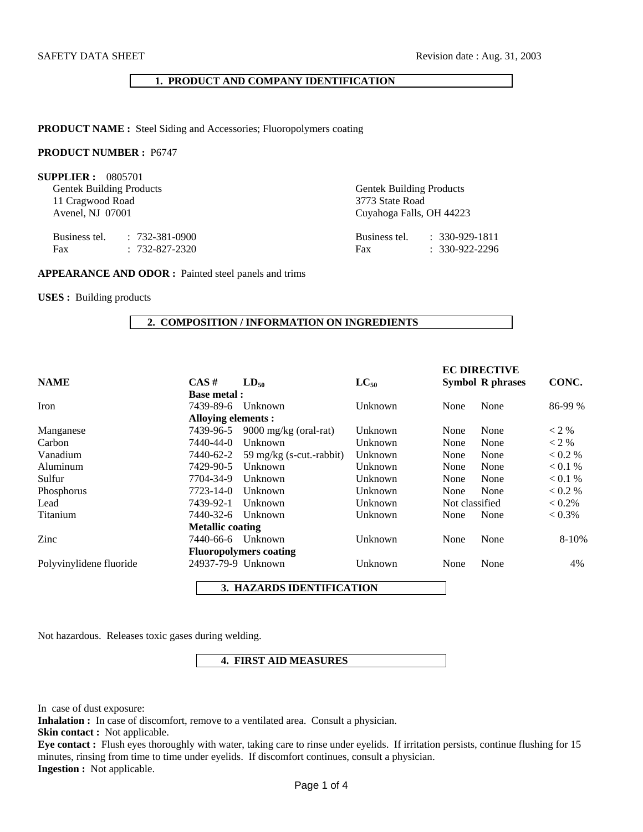## **1. PRODUCT AND COMPANY IDENTIFICATION**

**PRODUCT NAME :** Steel Siding and Accessories; Fluoropolymers coating

# **PRODUCT NUMBER :** P6747

**SUPPLIER :** 0805701

Gentek Building Products Gentek Building Products 11 Cragwood Road 3773 State Road 3773 State Road 3773 State Road 3773 State Road 3773 State Road 3773 State Road 3773 State Road 3773 State Road 3773 State Road 3773 State Road 3773 State Road 3773 State Road 3773 State Ro

Business tel. : 732-381-0900 Fax : 732-827-2320 Cuyahoga Falls, OH 44223

| Business tel. | $: 330 - 929 - 1811$ |
|---------------|----------------------|
| Fax           | $: 330 - 922 - 2296$ |

### **APPEARANCE AND ODOR :** Painted steel panels and trims

**USES :** Building products

#### **2. COMPOSITION / INFORMATION ON INGREDIENTS**

|                         |                         |                               |           |                | <b>EC DIRECTIVE</b>     |           |
|-------------------------|-------------------------|-------------------------------|-----------|----------------|-------------------------|-----------|
| <b>NAME</b>             | $CAS \#$                | $LD_{50}$                     | $LC_{50}$ |                | <b>Symbol R phrases</b> | CONC.     |
|                         | <b>Base metal:</b>      |                               |           |                |                         |           |
| Iron                    | 7439-89-6               | Unknown                       | Unknown   | None           | None                    | 86-99 %   |
|                         | Alloying elements :     |                               |           |                |                         |           |
| Manganese               | 7439-96-5               | 9000 mg/kg (oral-rat)         | Unknown   | None           | None                    | $<$ 2 %   |
| Carbon                  | 7440-44-0               | Unknown                       | Unknown   | None           | None                    | $<$ 2 %   |
| Vanadium                | 7440-62-2               | 59 mg/kg (s-cut.-rabbit)      | Unknown   | None           | None                    | $0.2\%$   |
| Aluminum                | 7429-90-5               | Unknown                       | Unknown   | None           | None                    | < 0.1 %   |
| Sulfur                  | 7704-34-9               | Unknown                       | Unknown   | None           | None                    | $0.1\%$   |
| Phosphorus              | 7723-14-0               | Unknown                       | Unknown   | None           | None                    | $0.2\%$   |
| Lead                    | 7439-92-1               | Unknown                       | Unknown   | Not classified |                         | $< 0.2\%$ |
| Titanium                | 7440-32-6               | Unknown                       | Unknown   | None           | None                    | $< 0.3\%$ |
|                         | <b>Metallic coating</b> |                               |           |                |                         |           |
| Zinc                    | 7440-66-6               | Unknown                       | Unknown   | None           | None                    | 8-10%     |
|                         |                         | <b>Fluoropolymers coating</b> |           |                |                         |           |
| Polyvinylidene fluoride |                         | 24937-79-9 Unknown            | Unknown   | None           | None                    | 4%        |
|                         |                         |                               |           |                |                         |           |

 **3. HAZARDS IDENTIFICATION** 

Not hazardous. Releases toxic gases during welding.

# **4. FIRST AID MEASURES**

In case of dust exposure:

**Inhalation :** In case of discomfort, remove to a ventilated area. Consult a physician.

**Skin contact :** Not applicable.

**Eye contact :** Flush eyes thoroughly with water, taking care to rinse under eyelids. If irritation persists, continue flushing for 15 minutes, rinsing from time to time under eyelids. If discomfort continues, consult a physician. **Ingestion :** Not applicable.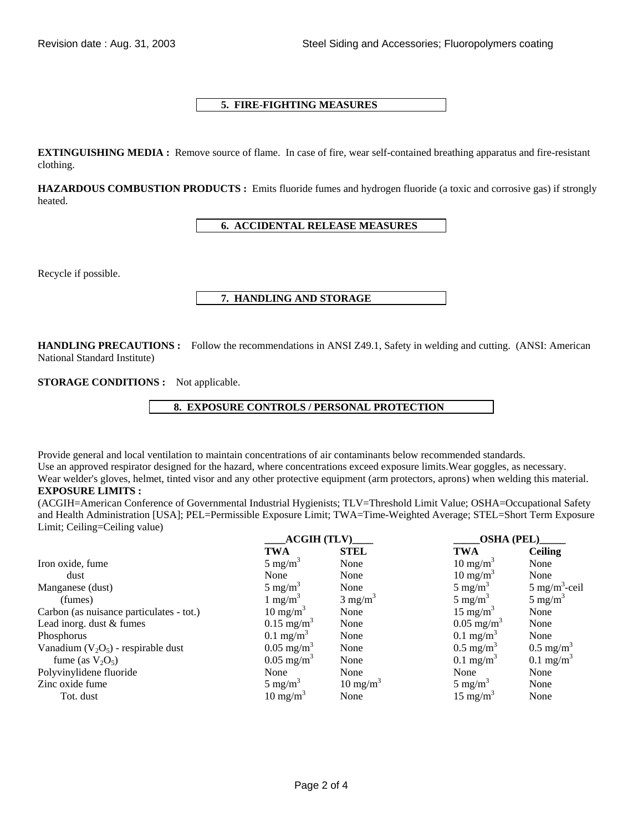# **5. FIRE-FIGHTING MEASURES**

**EXTINGUISHING MEDIA :** Remove source of flame. In case of fire, wear self-contained breathing apparatus and fire-resistant clothing.

**HAZARDOUS COMBUSTION PRODUCTS :** Emits fluoride fumes and hydrogen fluoride (a toxic and corrosive gas) if strongly heated.

# **6. ACCIDENTAL RELEASE MEASURES**

Recycle if possible.

# **7. HANDLING AND STORAGE**

**HANDLING PRECAUTIONS :** Follow the recommendations in ANSI Z49.1, Safety in welding and cutting. (ANSI: American National Standard Institute)

**STORAGE CONDITIONS :** Not applicable.

# **8. EXPOSURE CONTROLS / PERSONAL PROTECTION**

Provide general and local ventilation to maintain concentrations of air contaminants below recommended standards. Use an approved respirator designed for the hazard, where concentrations exceed exposure limits.Wear goggles, as necessary. Wear welder's gloves, helmet, tinted visor and any other protective equipment (arm protectors, aprons) when welding this material.

# **EXPOSURE LIMITS :**

(ACGIH=American Conference of Governmental Industrial Hygienists; TLV=Threshold Limit Value; OSHA=Occupational Safety and Health Administration [USA]; PEL=Permissible Exposure Limit; TWA=Time-Weighted Average; STEL=Short Term Exposure Limit; Ceiling=Ceiling value)

|                                          | <b>ACGIH (TLV)</b>      |                     | OSHA (PEL)              |                          |
|------------------------------------------|-------------------------|---------------------|-------------------------|--------------------------|
|                                          | <b>TWA</b>              | <b>STEL</b>         | <b>TWA</b>              | <b>Ceiling</b>           |
| Iron oxide, fume                         | $5 \text{ mg/m}^3$      | None                | $10 \text{ mg/m}^3$     | None                     |
| dust                                     | None                    | None                | $10 \text{ mg/m}^3$     | None                     |
| Manganese (dust)                         | $5 \text{ mg/m}^3$      | None                | $5 \text{ mg/m}^3$      | $5 \text{ mg/m}^3$ -ceil |
| (fumes)                                  | 1 mg/m <sup>3</sup>     | $3 \text{ mg/m}^3$  | $5 \text{ mg/m}^3$      | $5 \text{ mg/m}^3$       |
| Carbon (as nuisance particulates - tot.) | $10 \text{ mg/m}^3$     | None                | $15 \text{ mg/m}^3$     | None                     |
| Lead inorg. dust & fumes                 | $0.15 \text{ mg/m}^3$   | None                | $0.05 \text{ mg/m}^3$   | None                     |
| Phosphorus                               | $0.1$ mg/m <sup>3</sup> | None                | $0.1$ mg/m <sup>3</sup> | None                     |
| Vanadium $(V_2O_5)$ - respirable dust    | $0.05 \text{ mg/m}^3$   | None                | $0.5 \text{ mg/m}^3$    | $0.5 \text{ mg/m}^3$     |
| fume (as $V_2O_5$ )                      | $0.05 \text{ mg/m}^3$   | None                | $0.1$ mg/m <sup>3</sup> | $0.1 \text{ mg/m}^3$     |
| Polyvinylidene fluoride                  | None                    | None                | None                    | None                     |
| Zinc oxide fume                          | $5 \text{ mg/m}^3$      | $10 \text{ mg/m}^3$ | 5 mg/m <sup>3</sup>     | None                     |
| Tot. dust                                | $10 \text{ mg/m}^3$     | None                | $15 \text{ mg/m}^3$     | None                     |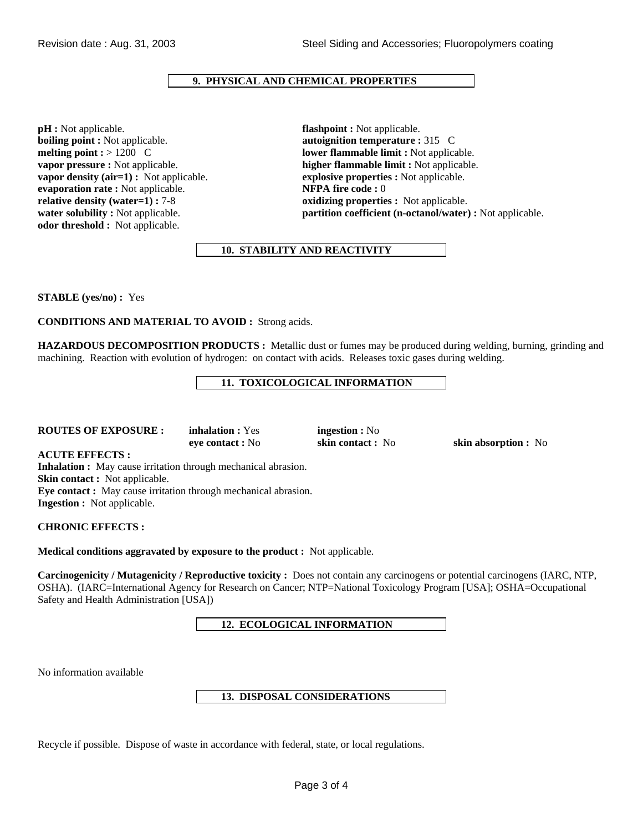# **9. PHYSICAL AND CHEMICAL PROPERTIES**

**pH :** Not applicable. **flashpoint :** Not applicable. **boiling point :** Not applicable. **autoignition temperature :** 315 C **vapor density (air=1) :** Not applicable. **explosive properties :** Not applicable. **evaporation rate :** Not applicable. **evaporation rate :** Not applicable. **evaporation rate :** Not applicable. **relative density (water=1) : 7-8 <b>oxidizing properties :** Not applicable. **odor threshold :** Not applicable.

**melting point : > 1200 C lower flammable limit :** Not applicable. **vapor pressure :** Not applicable. **higher flammable limit :** Not applicable. **water solubility :** Not applicable. **partition coefficient (n-octanol/water) :** Not applicable.

# **10. STABILITY AND REACTIVITY**

**STABLE (yes/no) :** Yes

**CONDITIONS AND MATERIAL TO AVOID :** Strong acids.

**HAZARDOUS DECOMPOSITION PRODUCTS :** Metallic dust or fumes may be produced during welding, burning, grinding and machining. Reaction with evolution of hydrogen: on contact with acids. Releases toxic gases during welding.

 **11. TOXICOLOGICAL INFORMATION** 

### **ROUTES OF EXPOSURE :** inhalation : Yes **ingestion :** No

**eye contact :** No **skin contact :** No **skin absorption :** No

**ACUTE EFFECTS :** 

**Inhalation :** May cause irritation through mechanical abrasion. **Skin contact :** Not applicable. **Eye contact :** May cause irritation through mechanical abrasion. **Ingestion :** Not applicable.

**CHRONIC EFFECTS :** 

**Medical conditions aggravated by exposure to the product :** Not applicable.

**Carcinogenicity / Mutagenicity / Reproductive toxicity :** Does not contain any carcinogens or potential carcinogens (IARC, NTP, OSHA). (IARC=International Agency for Research on Cancer; NTP=National Toxicology Program [USA]; OSHA=Occupational Safety and Health Administration [USA])

 **12. ECOLOGICAL INFORMATION** 

No information available

## **13. DISPOSAL CONSIDERATIONS**

Recycle if possible. Dispose of waste in accordance with federal, state, or local regulations.